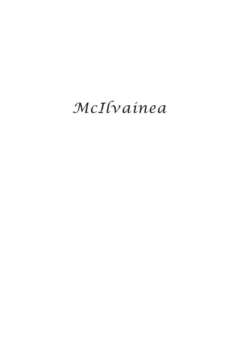# *McIlvainea*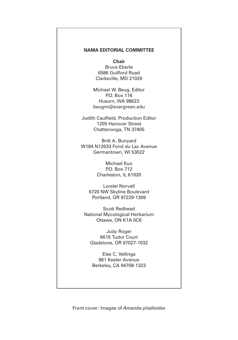#### **NAMA EDITORIAL COMMITTEE**

**Chair** Bruce Eberle 6586 Guilford Road

Clarksville, MD 21029

Michael W. Beug, Editor P.O. Box 116 Husum, WA 98623 beugm@evergreen.edu

Judith Caulfield, Production Editor 1205 Hanover Street Chattanooga, TN 37405

Britt A. Bunyard W184 N12633 Fond du Lac Avenue Germantown, WI 53022

> Michael Kuo P.O. Box 712 Charleston, IL 61920

Lorelei Norvell 6720 NW Skyline Boulevard Portland, OR 97229-1309

Scott Redhead National Mycological Herbarium Ottawa, ON K1A 0C6

Judy Roger 6615 Tudor Court Gladstone, OR 97027-1032

Else C. Vellinga 861 Keeler Avenue Berkeley, CA 94708-1323

Front cover: Images of *Amanita phalloides*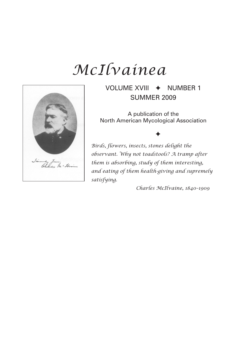## *McIlvainea*



VOLUME XVIII  $\leftrightarrow$  NUMBER 1 SUMMER 2009

A publication of the North American Mycological Association

♦

*Birds, flowers, insects, stones delight the observant. Why not toadstools? A tramp after them is absorbing, study of them interesting, and eating of them health-giving and supremely satisfying.*

 *Charles McIlvaine, 1840–1909*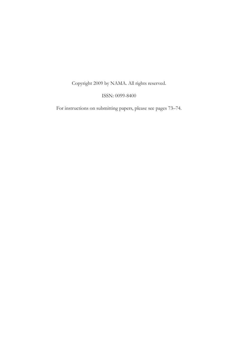### Copyright 2009 by NAMA. All rights reserved.

#### ISSN: 0099-8400

For instructions on submitting papers, please see pages 73–74.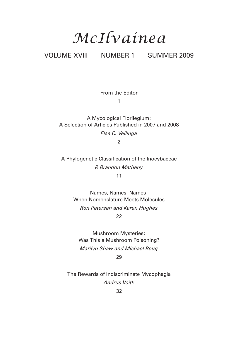# *McIlvainea*

### VOLUME XVIII NUMBER 1 SUMMER 2009

From the Editor

1

A Mycological Florilegium: A Selection of Articles Published in 2007 and 2008 *Else C. Vellinga*

2

A Phylogenetic Classification of the Inocybaceae *P. Brandon Matheny* 11

> Names, Names, Names: When Nomenclature Meets Molecules *Ron Petersen and Karen Hughes* 22

Mushroom Mysteries: Was This a Mushroom Poisoning? *Marilyn Shaw and Michael Beug* 29

The Rewards of Indiscriminate Mycophagia *Andrus Voitk*

32